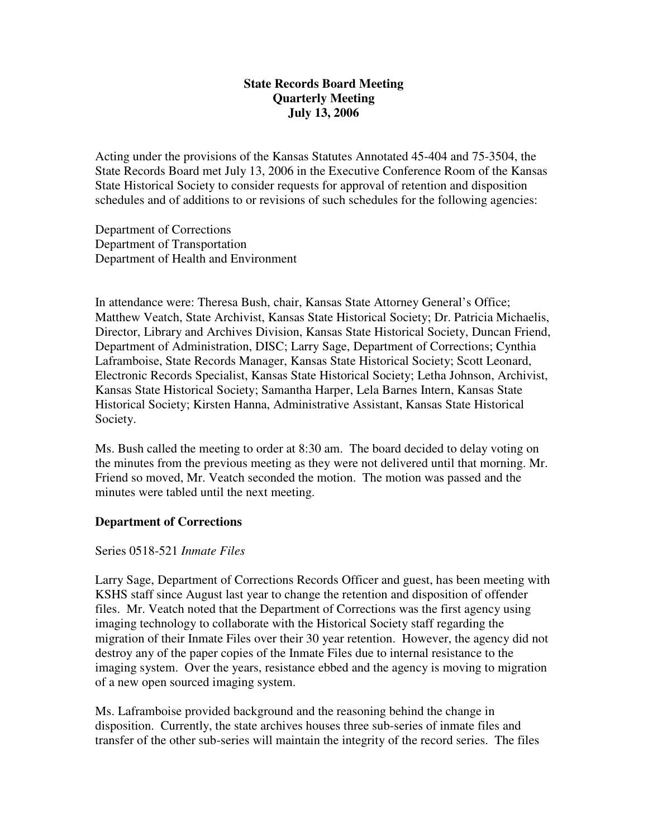# **State Records Board Meeting Quarterly Meeting July 13, 2006**

Acting under the provisions of the Kansas Statutes Annotated 45-404 and 75-3504, the State Records Board met July 13, 2006 in the Executive Conference Room of the Kansas State Historical Society to consider requests for approval of retention and disposition schedules and of additions to or revisions of such schedules for the following agencies:

Department of Corrections Department of Transportation Department of Health and Environment

In attendance were: Theresa Bush, chair, Kansas State Attorney General's Office; Matthew Veatch, State Archivist, Kansas State Historical Society; Dr. Patricia Michaelis, Director, Library and Archives Division, Kansas State Historical Society, Duncan Friend, Department of Administration, DISC; Larry Sage, Department of Corrections; Cynthia Laframboise, State Records Manager, Kansas State Historical Society; Scott Leonard, Electronic Records Specialist, Kansas State Historical Society; Letha Johnson, Archivist, Kansas State Historical Society; Samantha Harper, Lela Barnes Intern, Kansas State Historical Society; Kirsten Hanna, Administrative Assistant, Kansas State Historical Society.

Ms. Bush called the meeting to order at 8:30 am. The board decided to delay voting on the minutes from the previous meeting as they were not delivered until that morning. Mr. Friend so moved, Mr. Veatch seconded the motion. The motion was passed and the minutes were tabled until the next meeting.

### **Department of Corrections**

### Series 0518-521 *Inmate Files*

Larry Sage, Department of Corrections Records Officer and guest, has been meeting with KSHS staff since August last year to change the retention and disposition of offender files. Mr. Veatch noted that the Department of Corrections was the first agency using imaging technology to collaborate with the Historical Society staff regarding the migration of their Inmate Files over their 30 year retention. However, the agency did not destroy any of the paper copies of the Inmate Files due to internal resistance to the imaging system. Over the years, resistance ebbed and the agency is moving to migration of a new open sourced imaging system.

Ms. Laframboise provided background and the reasoning behind the change in disposition. Currently, the state archives houses three sub-series of inmate files and transfer of the other sub-series will maintain the integrity of the record series. The files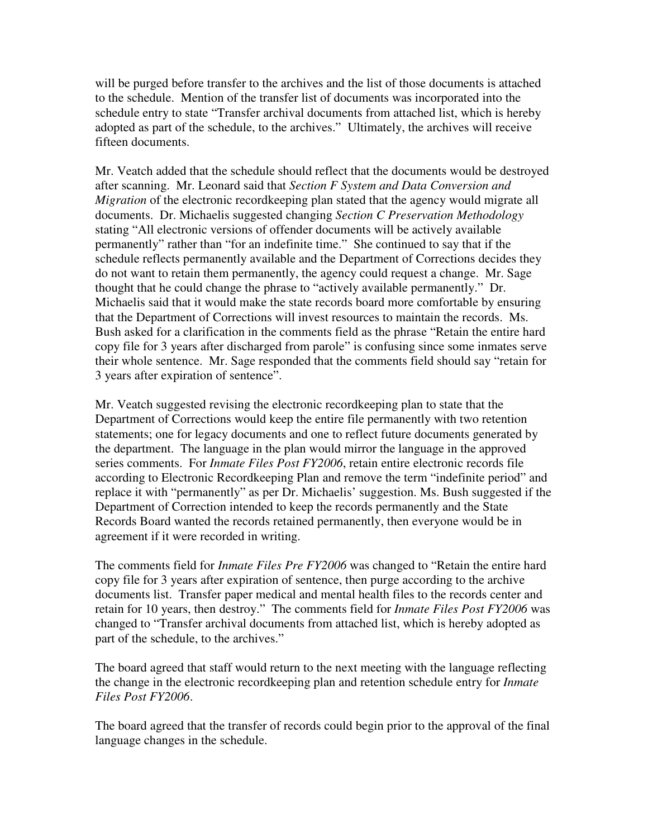will be purged before transfer to the archives and the list of those documents is attached to the schedule. Mention of the transfer list of documents was incorporated into the schedule entry to state "Transfer archival documents from attached list, which is hereby adopted as part of the schedule, to the archives." Ultimately, the archives will receive fifteen documents.

Mr. Veatch added that the schedule should reflect that the documents would be destroyed after scanning. Mr. Leonard said that *Section F System and Data Conversion and Migration* of the electronic recordkeeping plan stated that the agency would migrate all documents. Dr. Michaelis suggested changing *Section C Preservation Methodology* stating "All electronic versions of offender documents will be actively available permanently" rather than "for an indefinite time." She continued to say that if the schedule reflects permanently available and the Department of Corrections decides they do not want to retain them permanently, the agency could request a change. Mr. Sage thought that he could change the phrase to "actively available permanently." Dr. Michaelis said that it would make the state records board more comfortable by ensuring that the Department of Corrections will invest resources to maintain the records. Ms. Bush asked for a clarification in the comments field as the phrase "Retain the entire hard copy file for 3 years after discharged from parole" is confusing since some inmates serve their whole sentence. Mr. Sage responded that the comments field should say "retain for 3 years after expiration of sentence".

Mr. Veatch suggested revising the electronic recordkeeping plan to state that the Department of Corrections would keep the entire file permanently with two retention statements; one for legacy documents and one to reflect future documents generated by the department. The language in the plan would mirror the language in the approved series comments. For *Inmate Files Post FY2006*, retain entire electronic records file according to Electronic Recordkeeping Plan and remove the term "indefinite period" and replace it with "permanently" as per Dr. Michaelis' suggestion. Ms. Bush suggested if the Department of Correction intended to keep the records permanently and the State Records Board wanted the records retained permanently, then everyone would be in agreement if it were recorded in writing.

The comments field for *Inmate Files Pre FY2006* was changed to "Retain the entire hard copy file for 3 years after expiration of sentence, then purge according to the archive documents list. Transfer paper medical and mental health files to the records center and retain for 10 years, then destroy." The comments field for *Inmate Files Post FY2006* was changed to "Transfer archival documents from attached list, which is hereby adopted as part of the schedule, to the archives."

The board agreed that staff would return to the next meeting with the language reflecting the change in the electronic recordkeeping plan and retention schedule entry for *Inmate Files Post FY2006*.

The board agreed that the transfer of records could begin prior to the approval of the final language changes in the schedule.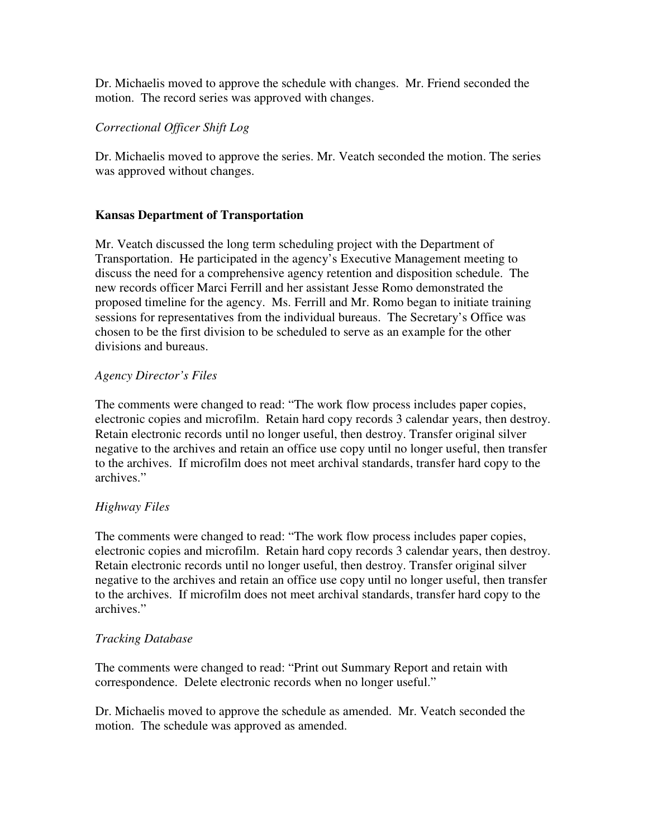Dr. Michaelis moved to approve the schedule with changes. Mr. Friend seconded the motion. The record series was approved with changes.

# *Correctional Officer Shift Log*

Dr. Michaelis moved to approve the series. Mr. Veatch seconded the motion. The series was approved without changes.

## **Kansas Department of Transportation**

Mr. Veatch discussed the long term scheduling project with the Department of Transportation. He participated in the agency's Executive Management meeting to discuss the need for a comprehensive agency retention and disposition schedule. The new records officer Marci Ferrill and her assistant Jesse Romo demonstrated the proposed timeline for the agency. Ms. Ferrill and Mr. Romo began to initiate training sessions for representatives from the individual bureaus. The Secretary's Office was chosen to be the first division to be scheduled to serve as an example for the other divisions and bureaus.

### *Agency Director's Files*

The comments were changed to read: "The work flow process includes paper copies, electronic copies and microfilm. Retain hard copy records 3 calendar years, then destroy. Retain electronic records until no longer useful, then destroy. Transfer original silver negative to the archives and retain an office use copy until no longer useful, then transfer to the archives. If microfilm does not meet archival standards, transfer hard copy to the archives."

# *Highway Files*

The comments were changed to read: "The work flow process includes paper copies, electronic copies and microfilm. Retain hard copy records 3 calendar years, then destroy. Retain electronic records until no longer useful, then destroy. Transfer original silver negative to the archives and retain an office use copy until no longer useful, then transfer to the archives. If microfilm does not meet archival standards, transfer hard copy to the archives."

### *Tracking Database*

The comments were changed to read: "Print out Summary Report and retain with correspondence. Delete electronic records when no longer useful."

Dr. Michaelis moved to approve the schedule as amended. Mr. Veatch seconded the motion. The schedule was approved as amended.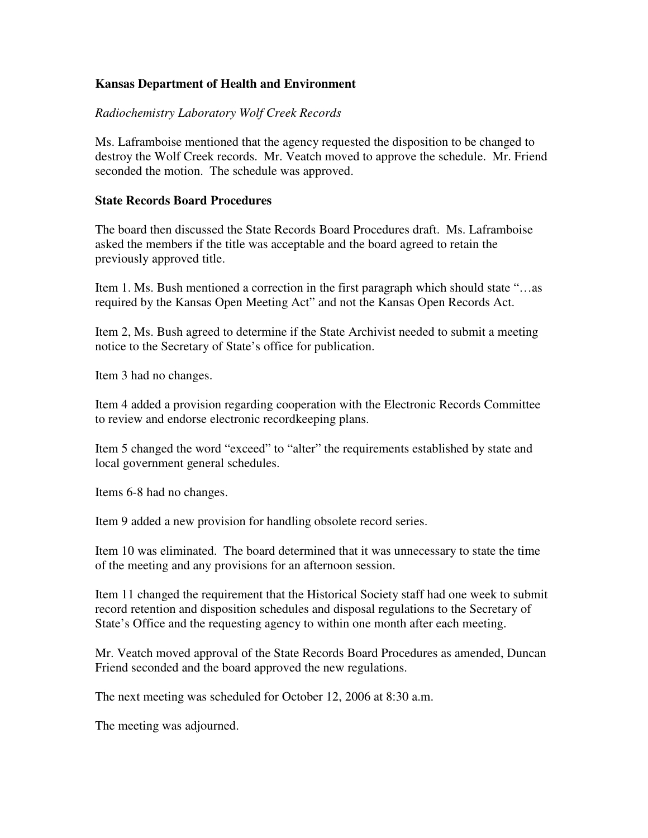## **Kansas Department of Health and Environment**

### *Radiochemistry Laboratory Wolf Creek Records*

Ms. Laframboise mentioned that the agency requested the disposition to be changed to destroy the Wolf Creek records. Mr. Veatch moved to approve the schedule. Mr. Friend seconded the motion. The schedule was approved.

#### **State Records Board Procedures**

The board then discussed the State Records Board Procedures draft. Ms. Laframboise asked the members if the title was acceptable and the board agreed to retain the previously approved title.

Item 1. Ms. Bush mentioned a correction in the first paragraph which should state "…as required by the Kansas Open Meeting Act" and not the Kansas Open Records Act.

Item 2, Ms. Bush agreed to determine if the State Archivist needed to submit a meeting notice to the Secretary of State's office for publication.

Item 3 had no changes.

Item 4 added a provision regarding cooperation with the Electronic Records Committee to review and endorse electronic recordkeeping plans.

Item 5 changed the word "exceed" to "alter" the requirements established by state and local government general schedules.

Items 6-8 had no changes.

Item 9 added a new provision for handling obsolete record series.

Item 10 was eliminated. The board determined that it was unnecessary to state the time of the meeting and any provisions for an afternoon session.

Item 11 changed the requirement that the Historical Society staff had one week to submit record retention and disposition schedules and disposal regulations to the Secretary of State's Office and the requesting agency to within one month after each meeting.

Mr. Veatch moved approval of the State Records Board Procedures as amended, Duncan Friend seconded and the board approved the new regulations.

The next meeting was scheduled for October 12, 2006 at 8:30 a.m.

The meeting was adjourned.